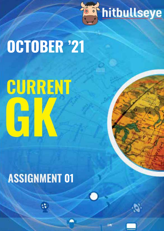

# **OCTOBER '21**

# CURRENT

## **ASSIGNMENT 01**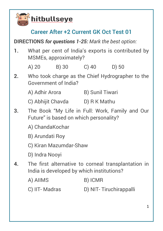

#### **Career After +2 Current GK Oct Test 01**

**DIRECTIONS** *for questions 1-25: Mark the best option:*

- **1.** What per cent of India's exports is contributed by MSMEs, approximately?
	- A) 20 B) 30 C) 40 D) 50
- **2.** Who took charge as the Chief Hydrographer to the Government of India?
	- A) Adhir Arora B) Sunil Tiwari
	- C) Abhijit Chavda D) R K Mathu
- **3.** The Book "My Life in Full: Work, Family and Our Future" is based on which personality?
	- A) ChandaKochar
	- B) Arundati Roy
	- C) Kiran Mazumdar-Shaw
	- D) Indra Nooyi
- **4.** The first alternative to corneal transplantation in India is developed by which institutions?
	- A) AIIMS B) ICMR
	- C) IIT- Madras D) NIT- Tiruchirappalli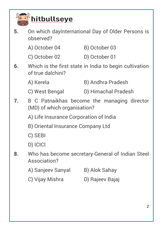#### hitbullseye

**5.** On which dayInternational Day of Older Persons is observed?

| A) October 04 | B) October 03 |
|---------------|---------------|
| C) October 02 | D) October 01 |

- **6.** Which is the first state in India to begin cultivation of true dalchini?
	- A) Kerela B) Andhra Pradesh
	- C) West Bengal D) Himachal Pradesh
- **7.** B C Patnaikhas become the managing director (MD) of which organisation?
	- A) Life Insurance Corporation of India
	- B) Oriental Insurance Company Ltd
	- C) SEBI
	- D) ICICI
- **8.** Who has become secretary-General of Indian Steel Association?
	- A) Sanjeev Sanyal B) Alok Sahay
	- C) Vijay Mishra D) Rajeev Bajaj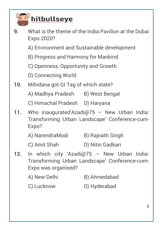

#### hitbullseye

- **9.** What is the theme of the India Pavilion at the Dubai Expo 2020?
	- A) Environment and Sustainable development
	- B) Progress and Harmony for Mankind
	- C) Openness, Opportunity and Growth
	- D) Connecting World
- **10.** Mihidana got GI Tag of which state?
	- A) Madhya Pradesh B) West Bengal
	- C) Himachal Pradesh D) Haryana
- **11.** Who inaugurated'Azadi@75 New Urban India: Transforming Urban Landscape' Conference-cum-Expo?
	- A) NarendraModi B) Rajnath Singh
	- C) Amit Shah D) Nitin Gadkari
- **12.** In which city 'Azadi@75 New Urban India: Transforming Urban Landscape' Conference-cum-Expo was organised?
	- A) New Delhi B) Ahmedabad
	- C) Lucknow D) Hyderabad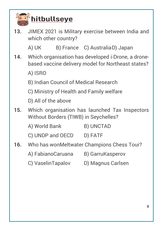

#### hitbullseye

**13.** JIMEX 2021 is Military exercise between India and which other country?

A) UK B) France C) AustraliaD) Japan

- **14.** Which organisation has developed i-Drone, a dronebased vaccine delivery model for Northeast states?
	- A) ISRO
	- B) Indian Council of Medical Research
	- C) Ministry of Health and Family welfare
	- D) All of the above
- **15.** Which organisation has launched Tax Inspectors Without Borders (TIWB) in Seychelles?
	- A) World Bank B) UNCTAD
	- C) UNDP and OECD D) FATF
- **16.** Who has wonMeltwater Champions Chess Tour?
	- A) FabianoCaruana B) GarruKasperov
	- C) VaselinTapalov D) Magnus Carlsen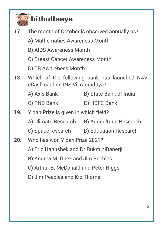

#### $\delta$ hitbullseye

- **17.** The month of October is observed annually as?
	- A) Mathematics Awareness Month
	- B) AIDS Awareness Month
	- C) Breast Cancer Awareness Month
	- D) TB Awareness Month
- **18.** Which of the following bank has launched NAVeCash card on INS Vikramaditya?
	- A) Axis Bank B) State Bank of India
	- C) PNB Bank D) HDFC Bank
- **19.** Yidan Prize is given in which field?
	- A) Climate Research B) Agricultural Research
	- C) Space research D) Education Research
- **20.** Who has won Yidan Prize 2021?
	- A) Eric Hanushek and Dr.RukminiBanerji
	- B) Andrea M. Ghez and Jim Peebles
	- C) Arthur B. McDonald and Peter Higgs
	- D) Jim Peebles and Kip Thorne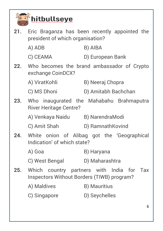

#### $\delta$ hitbullseye

- **21.** Eric Braganza has been recently appointed the president of which organisation?
	- A) ADB B) AIBA
	- C) CEAMA D) European Bank
- **22.** Who becomes the brand ambassador of Crypto exchange CoinDCX?
	- A) ViratKohli B) Neeraj Chopra
	- C) MS Dhoni D) Amitabh Bachchan
- **23.** Who inaugurated the Mahabahu Brahmaputra River Heritage Centre?
	- A) Venkaya Naidu B) NarendraModi
	- C) Amit Shah D) RamnathKovind
- **24.** White onion of Alibag got the 'Geographical Indication' of which state?
	- A) Goa B) Haryana
	- C) West Bengal D) Maharashtra
- **25.** Which country partners with India for Tax Inspectors Without Borders (TIWB) program?
	- A) Maldives B) Mauritius
	- C) Singapore D) Seychelles